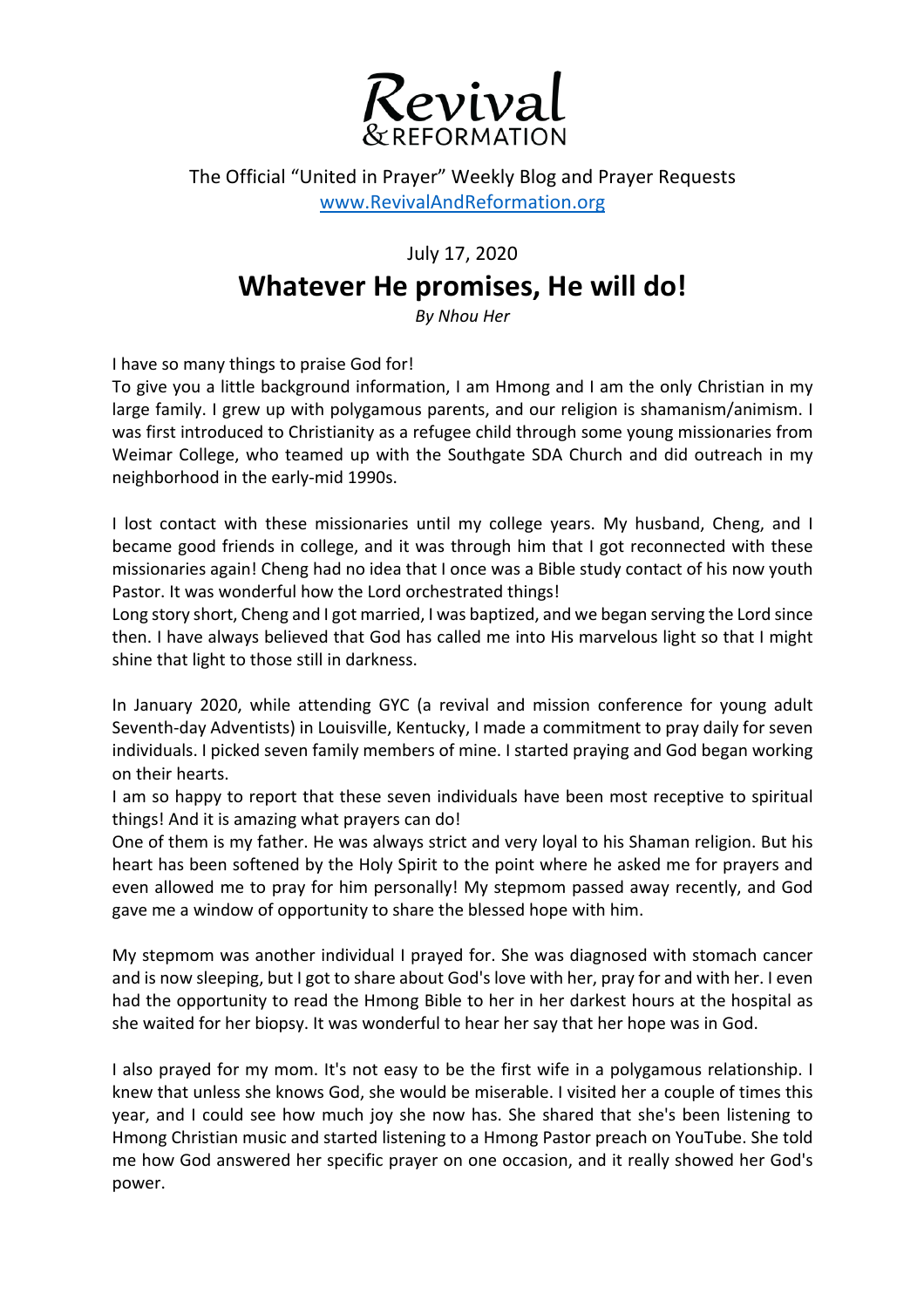

The Official "United in Prayer" Weekly Blog and Prayer Requests www.RevivalAndReformation.org

July 17, 2020

## **Whatever He promises, He will do!**

*By Nhou Her*

I have so many things to praise God for!

To give you a little background information, I am Hmong and I am the only Christian in my large family. I grew up with polygamous parents, and our religion is shamanism/animism. I was first introduced to Christianity as a refugee child through some young missionaries from Weimar College, who teamed up with the Southgate SDA Church and did outreach in my neighborhood in the early-mid 1990s.

I lost contact with these missionaries until my college years. My husband, Cheng, and I became good friends in college, and it was through him that I got reconnected with these missionaries again! Cheng had no idea that I once was a Bible study contact of his now youth Pastor. It was wonderful how the Lord orchestrated things!

Long story short, Cheng and I got married, I was baptized, and we began serving the Lord since then. I have always believed that God has called me into His marvelous light so that I might shine that light to those still in darkness.

In January 2020, while attending GYC (a revival and mission conference for young adult Seventh-day Adventists) in Louisville, Kentucky, I made a commitment to pray daily for seven individuals. I picked seven family members of mine. I started praying and God began working on their hearts.

I am so happy to report that these seven individuals have been most receptive to spiritual things! And it is amazing what prayers can do!

One of them is my father. He was always strict and very loyal to his Shaman religion. But his heart has been softened by the Holy Spirit to the point where he asked me for prayers and even allowed me to pray for him personally! My stepmom passed away recently, and God gave me a window of opportunity to share the blessed hope with him.

My stepmom was another individual I prayed for. She was diagnosed with stomach cancer and is now sleeping, but I got to share about God's love with her, pray for and with her. I even had the opportunity to read the Hmong Bible to her in her darkest hours at the hospital as she waited for her biopsy. It was wonderful to hear her say that her hope was in God.

I also prayed for my mom. It's not easy to be the first wife in a polygamous relationship. I knew that unless she knows God, she would be miserable. I visited her a couple of times this year, and I could see how much joy she now has. She shared that she's been listening to Hmong Christian music and started listening to a Hmong Pastor preach on YouTube. She told me how God answered her specific prayer on one occasion, and it really showed her God's power.